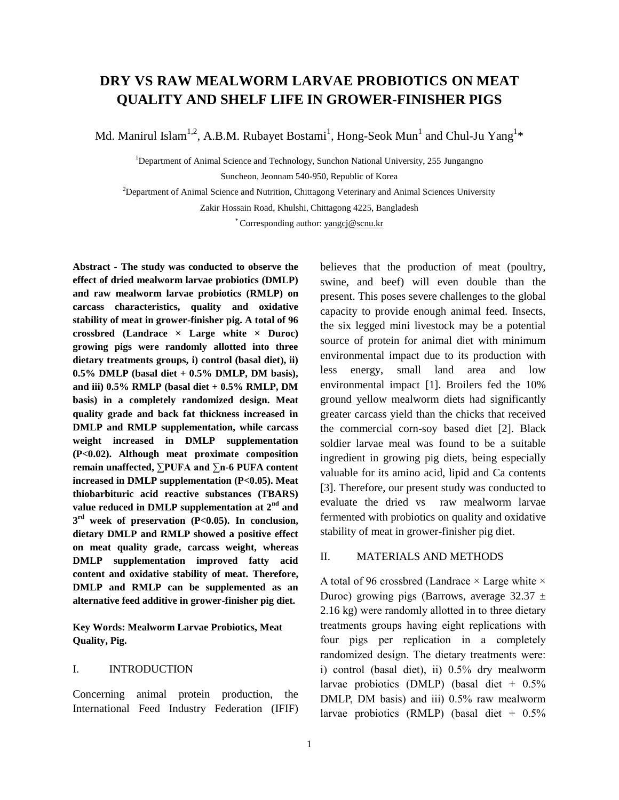# **DRY VS RAW MEALWORM LARVAE PROBIOTICS ON MEAT QUALITY AND SHELF LIFE IN GROWER-FINISHER PIGS**

Md. Manirul Islam<sup>1,2</sup>, A.B.M. Rubayet Bostami<sup>1</sup>, Hong-Seok Mun<sup>1</sup> and Chul-Ju Yang<sup>1\*</sup>

<sup>1</sup>Department of Animal Science and Technology, Sunchon National University, 255 Jungangno Suncheon, Jeonnam 540-950, Republic of Korea

<sup>2</sup>Department of Animal Science and Nutrition, Chittagong Veterinary and Animal Sciences University Zakir Hossain Road, Khulshi, Chittagong 4225, Bangladesh

\* Corresponding author[: yangcj@scnu.kr](mailto:yangcj@scnu.kr)

**Abstract - The study was conducted to observe the effect of dried mealworm larvae probiotics (DMLP) and raw mealworm larvae probiotics (RMLP) on carcass characteristics, quality and oxidative stability of meat in grower-finisher pig. A total of 96 crossbred (Landrace × Large white × Duroc) growing pigs were randomly allotted into three dietary treatments groups, i) control (basal diet), ii) 0.5% DMLP (basal diet + 0.5% DMLP, DM basis), and iii) 0.5% RMLP (basal diet + 0.5% RMLP, DM basis) in a completely randomized design. Meat quality grade and back fat thickness increased in DMLP and RMLP supplementation, while carcass weight increased in DMLP supplementation (P<0.02). Although meat proximate composition remain unaffected, ∑PUFA and ∑n-6 PUFA content increased in DMLP supplementation (P<0.05). Meat thiobarbituric acid reactive substances (TBARS) value reduced in DMLP supplementation at 2nd and 3 rd week of preservation (P<0.05). In conclusion, dietary DMLP and RMLP showed a positive effect on meat quality grade, carcass weight, whereas DMLP supplementation improved fatty acid content and oxidative stability of meat. Therefore, DMLP and RMLP can be supplemented as an alternative feed additive in grower-finisher pig diet.**

**Key Words: Mealworm Larvae Probiotics, Meat Quality, Pig.**

#### I. INTRODUCTION

Concerning animal protein production, the International Feed Industry Federation (IFIF) believes that the production of meat (poultry, swine, and beef) will even double than the present. This poses severe challenges to the global capacity to provide enough animal feed. Insects, the six legged mini livestock may be a potential source of protein for animal diet with minimum environmental impact due to its production with less energy, small land area and low environmental impact [1]. Broilers fed the 10% ground yellow mealworm diets had significantly greater carcass yield than the chicks that received the commercial corn-soy based diet [2]. Black soldier larvae meal was found to be a suitable ingredient in growing pig diets, being especially valuable for its amino acid, lipid and Ca contents [3]. Therefore, our present study was conducted to evaluate the dried vs raw mealworm larvae fermented with probiotics on quality and oxidative stability of meat in grower-finisher pig diet.

# II. MATERIALS AND METHODS

A total of 96 crossbred (Landrace  $\times$  Large white  $\times$ Duroc) growing pigs (Barrows, average  $32.37 \pm$ 2.16 kg) were randomly allotted in to three dietary treatments groups having eight replications with four pigs per replication in a completely randomized design. The dietary treatments were: i) control (basal diet), ii) 0.5% dry mealworm larvae probiotics (DMLP) (basal diet  $+$  0.5% DMLP, DM basis) and iii) 0.5% raw mealworm larvae probiotics (RMLP) (basal diet + 0.5%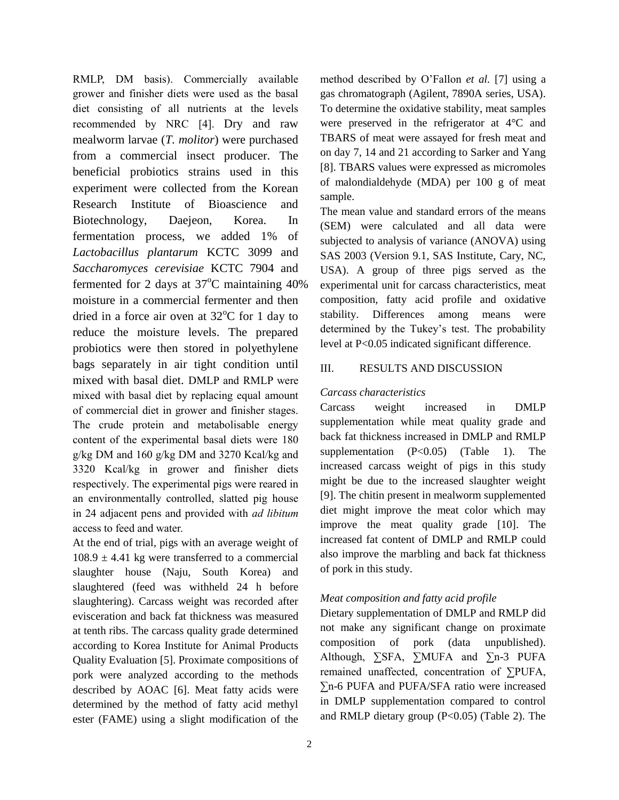RMLP, DM basis). Commercially available grower and finisher diets were used as the basal diet consisting of all nutrients at the levels recommended by NRC [4]. Dry and raw mealworm larvae (*T. molitor*) were purchased from a commercial insect producer. The beneficial probiotics strains used in this experiment were collected from the Korean Research Institute of Bioascience and Biotechnology, Daejeon, Korea. In fermentation process, we added 1% of *Lactobacillus plantarum* KCTC 3099 and *Saccharomyces cerevisiae* KCTC 7904 and fermented for 2 days at  $37^{\circ}$ C maintaining 40% moisture in a commercial fermenter and then dried in a force air oven at  $32^{\circ}$ C for 1 day to reduce the moisture levels. The prepared probiotics were then stored in polyethylene bags separately in air tight condition until mixed with basal diet. DMLP and RMLP were mixed with basal diet by replacing equal amount of commercial diet in grower and finisher stages. The crude protein and metabolisable energy content of the experimental basal diets were 180 g/kg DM and 160 g/kg DM and 3270 Kcal/kg and 3320 Kcal/kg in grower and finisher diets respectively. The experimental pigs were reared in an environmentally controlled, slatted pig house in 24 adjacent pens and provided with *ad libitum* access to feed and water.

At the end of trial, pigs with an average weight of  $108.9 \pm 4.41$  kg were transferred to a commercial slaughter house (Naju, South Korea) and slaughtered (feed was withheld 24 h before slaughtering). Carcass weight was recorded after evisceration and back fat thickness was measured at tenth ribs. The carcass quality grade determined according to Korea Institute for Animal Products Quality Evaluation [5]. Proximate compositions of pork were analyzed according to the methods described by AOAC [6]. Meat fatty acids were determined by the method of fatty acid methyl ester (FAME) using a slight modification of the method described by O'Fallon *et al.* [7] using a gas chromatograph (Agilent, 7890A series, USA). To determine the oxidative stability, meat samples were preserved in the refrigerator at 4°C and TBARS of meat were assayed for fresh meat and on day 7, 14 and 21 according to Sarker and Yang [8]. TBARS values were expressed as micromoles of malondialdehyde (MDA) per 100 g of meat sample.

The mean value and standard errors of the means (SEM) were calculated and all data were subjected to analysis of variance (ANOVA) using SAS 2003 (Version 9.1, SAS Institute, Cary, NC, USA). A group of three pigs served as the experimental unit for carcass characteristics, meat composition, fatty acid profile and oxidative stability. Differences among means were determined by the Tukey's test. The probability level at P<0.05 indicated significant difference.

# III. RESULTS AND DISCUSSION

# *Carcass characteristics*

Carcass weight increased in DMLP supplementation while meat quality grade and back fat thickness increased in DMLP and RMLP supplementation (P<0.05) (Table 1). The increased carcass weight of pigs in this study might be due to the increased slaughter weight [9]. The chitin present in mealworm supplemented diet might improve the meat color which may improve the meat quality grade [10]. The increased fat content of DMLP and RMLP could also improve the marbling and back fat thickness of pork in this study.

# *Meat composition and fatty acid profile*

Dietary supplementation of DMLP and RMLP did not make any significant change on proximate composition of pork (data unpublished). Although, ∑SFA, ∑MUFA and ∑n-3 PUFA remained unaffected, concentration of ∑PUFA, ∑n-6 PUFA and PUFA/SFA ratio were increased in DMLP supplementation compared to control and RMLP dietary group (P<0.05) (Table 2). The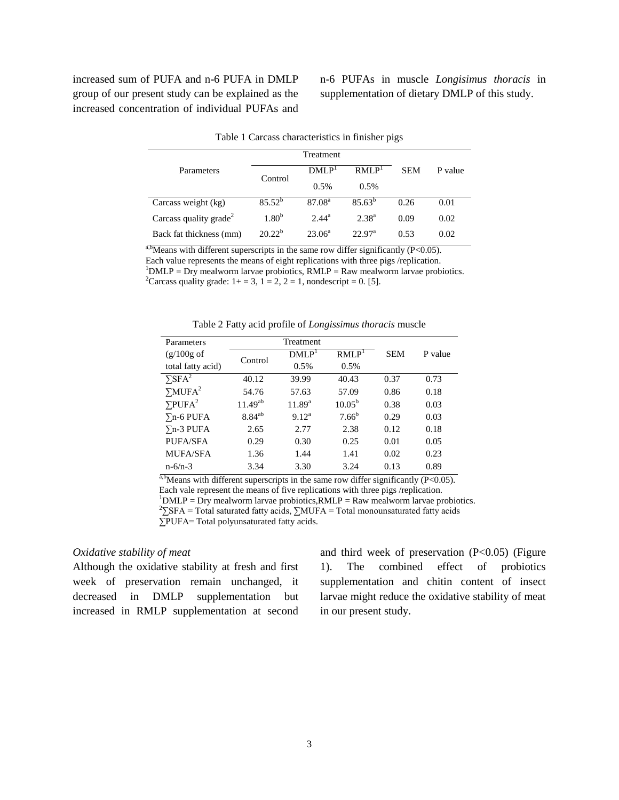increased sum of PUFA and n-6 PUFA in DMLP group of our present study can be explained as the increased concentration of individual PUFAs and n-6 PUFAs in muscle *Longisimus thoracis* in supplementation of dietary DMLP of this study.

|                                    | Treatment         |                    |                    |            |         |
|------------------------------------|-------------------|--------------------|--------------------|------------|---------|
| Parameters                         | Control           | DMLP <sup>1</sup>  | RMI.P <sup>1</sup> | <b>SEM</b> | P value |
|                                    |                   | 0.5%               | $0.5\%$            |            |         |
| Carcass weight (kg)                | $85.52^{b}$       | 87.08 <sup>a</sup> | $85.63^{b}$        | 0.26       | 0.01    |
| Carcass quality grade <sup>2</sup> | 1.80 <sup>b</sup> | $2.44^{\rm a}$     | $2.38^{a}$         | 0.09       | 0.02    |
| Back fat thickness (mm)            | $20.22^b$         | $23.06^a$          | 22.97 <sup>a</sup> | 0.53       | 0.02    |

Table 1 Carcass characteristics in finisher pigs

 $a,b$ Means with different superscripts in the same row differ significantly (P<0.05). Each value represents the means of eight replications with three pigs /replication.  $1<sup>1</sup>$ DMLP = Dry mealworm larvae probiotics, RMLP = Raw mealworm larvae probiotics. <sup>2</sup>Carcass quality grade:  $1+=3$ ,  $1=2$ ,  $2=1$ , nondescript = 0. [5].

| Table 2 Fatty acid profile of <i>Longissimus thoracis</i> muscle |  |  |  |
|------------------------------------------------------------------|--|--|--|
|                                                                  |  |  |  |

| Parameters                 | Treatment    |                   |                   |            |         |
|----------------------------|--------------|-------------------|-------------------|------------|---------|
| $(g/100g \text{ of }$      |              | DMLP <sup>1</sup> | RMLP <sup>T</sup> | <b>SEM</b> | P value |
| total fatty acid)          | Control      | 0.5%              | 0.5%              |            |         |
| $\Sigma$ SFA <sup>2</sup>  | 40.12        | 39.99             | 40.43             | 0.37       | 0.73    |
| $\Sigma M UFA^2$           | 54.76        | 57.63             | 57.09             | 0.86       | 0.18    |
| $\Sigma$ PUFA <sup>2</sup> | $11.49^{ab}$ | $11.89^{a}$       | $10.05^{\rm b}$   | 0.38       | 0.03    |
| $\Sigma$ n-6 PUFA          | $8.84^{ab}$  | 9.12 <sup>a</sup> | $7.66^b$          | 0.29       | 0.03    |
| $\Sigma$ n-3 PUFA          | 2.65         | 2.77              | 2.38              | 0.12       | 0.18    |
| PUFA/SFA                   | 0.29         | 0.30              | 0.25              | 0.01       | 0.05    |
| <b>MUFA/SFA</b>            | 1.36         | 1.44              | 1.41              | 0.02       | 0.23    |
| $n - 6/n - 3$              | 3.34         | 3.30              | 3.24              | 0.13       | 0.89    |

a,b<sub>Means</sub> with different superscripts in the same row differ significantly (P<0.05). Each vale represent the means of five replications with three pigs /replication.

 $1$ DMLP = Dry mealworm larvae probiotics, RMLP = Raw mealworm larvae probiotics.

<sup>2</sup>∑SFA = Total saturated fatty acids, ∑MUFA = Total monounsaturated fatty acids

∑PUFA= Total polyunsaturated fatty acids.

### *Oxidative stability of meat*

Although the oxidative stability at fresh and first week of preservation remain unchanged, it decreased in DMLP supplementation but increased in RMLP supplementation at second and third week of preservation  $(P<0.05)$  (Figure 1). The combined effect of probiotics supplementation and chitin content of insect larvae might reduce the oxidative stability of meat in our present study.